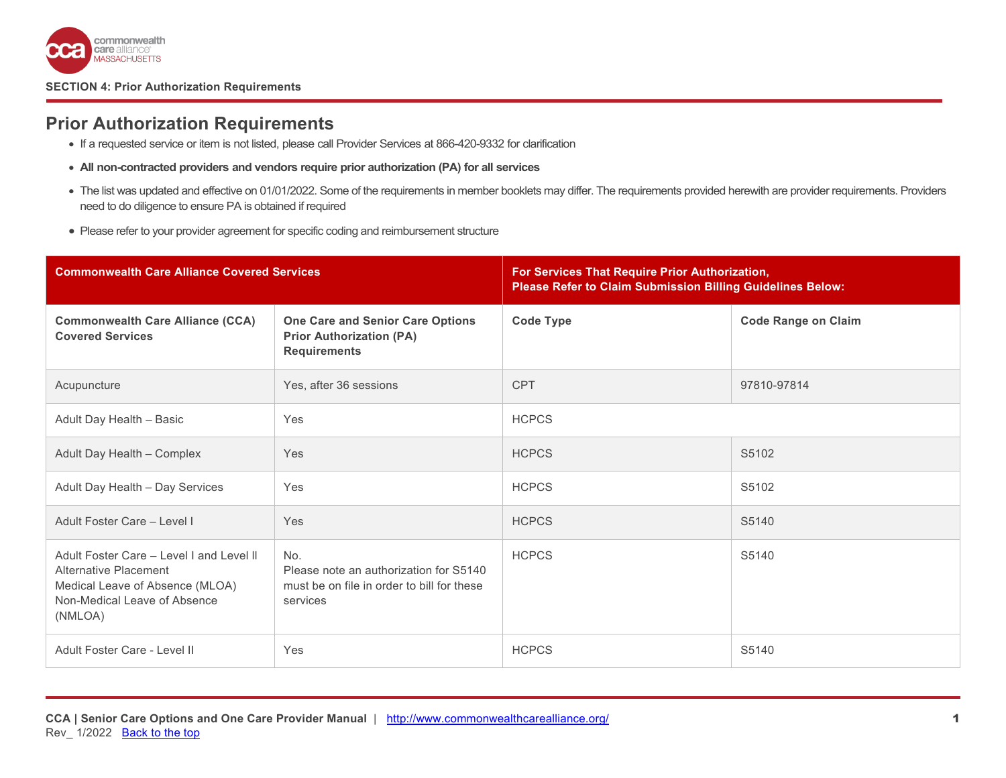

## <span id="page-0-0"></span>**Prior Authorization Requirements**

- If a requested service or item is not listed, please call Provider Services at 866-420-9332 for clarification
- **All non-contracted providers and vendors require prior authorization (PA) for all services**
- The list was updated and effective on 01/01/2022. Some of the requirements in member booklets may differ. The requirements provided herewith are provider requirements. Providers need to do diligence to ensure PA is obtained if required
- Please refer to your provider agreement for specific coding and reimbursement structure

| <b>Commonwealth Care Alliance Covered Services</b>                                                                                                     |                                                                                                         | For Services That Require Prior Authorization,<br>Please Refer to Claim Submission Billing Guidelines Below: |                            |
|--------------------------------------------------------------------------------------------------------------------------------------------------------|---------------------------------------------------------------------------------------------------------|--------------------------------------------------------------------------------------------------------------|----------------------------|
| <b>Commonwealth Care Alliance (CCA)</b><br><b>Covered Services</b>                                                                                     | One Care and Senior Care Options<br><b>Prior Authorization (PA)</b><br><b>Requirements</b>              | <b>Code Type</b>                                                                                             | <b>Code Range on Claim</b> |
| Acupuncture                                                                                                                                            | Yes, after 36 sessions                                                                                  | <b>CPT</b>                                                                                                   | 97810-97814                |
| Adult Day Health - Basic                                                                                                                               | Yes                                                                                                     | <b>HCPCS</b>                                                                                                 |                            |
| Adult Day Health - Complex                                                                                                                             | Yes                                                                                                     | <b>HCPCS</b>                                                                                                 | S5102                      |
| Adult Day Health - Day Services                                                                                                                        | Yes                                                                                                     | <b>HCPCS</b>                                                                                                 | S5102                      |
| Adult Foster Care - Level I                                                                                                                            | Yes                                                                                                     | <b>HCPCS</b>                                                                                                 | S5140                      |
| Adult Foster Care - Level I and Level II<br><b>Alternative Placement</b><br>Medical Leave of Absence (MLOA)<br>Non-Medical Leave of Absence<br>(NMLOA) | No.<br>Please note an authorization for S5140<br>must be on file in order to bill for these<br>services | <b>HCPCS</b>                                                                                                 | S5140                      |
| Adult Foster Care - Level II                                                                                                                           | Yes                                                                                                     | <b>HCPCS</b>                                                                                                 | S5140                      |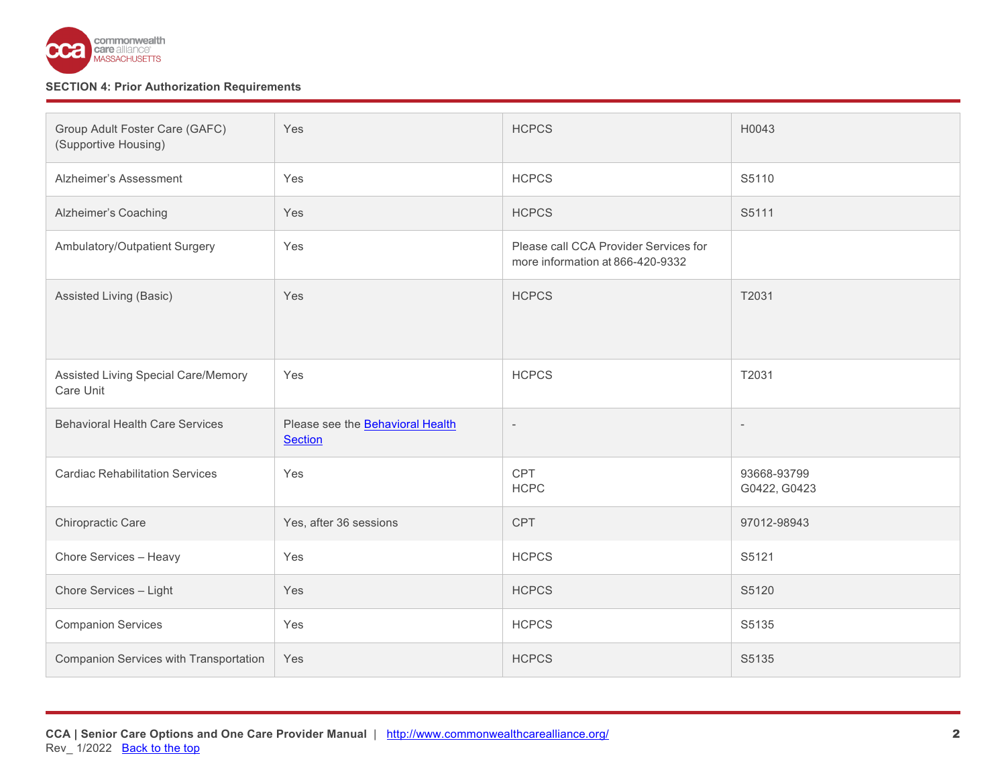

| Group Adult Foster Care (GAFC)<br>(Supportive Housing) | Yes                                                       | <b>HCPCS</b>                                                              | H0043                       |
|--------------------------------------------------------|-----------------------------------------------------------|---------------------------------------------------------------------------|-----------------------------|
| Alzheimer's Assessment                                 | Yes                                                       | <b>HCPCS</b>                                                              | S5110                       |
| Alzheimer's Coaching                                   | Yes                                                       | <b>HCPCS</b>                                                              | S5111                       |
| Ambulatory/Outpatient Surgery                          | Yes                                                       | Please call CCA Provider Services for<br>more information at 866-420-9332 |                             |
| Assisted Living (Basic)                                | Yes                                                       | <b>HCPCS</b>                                                              | T2031                       |
| Assisted Living Special Care/Memory<br>Care Unit       | Yes                                                       | <b>HCPCS</b>                                                              | T2031                       |
| <b>Behavioral Health Care Services</b>                 | Please see the <b>Behavioral Health</b><br><b>Section</b> | $\overline{\phantom{a}}$                                                  | $\overline{\phantom{a}}$    |
| <b>Cardiac Rehabilitation Services</b>                 | Yes                                                       | <b>CPT</b><br><b>HCPC</b>                                                 | 93668-93799<br>G0422, G0423 |
| Chiropractic Care                                      | Yes, after 36 sessions                                    | <b>CPT</b>                                                                | 97012-98943                 |
| Chore Services - Heavy                                 | Yes                                                       | <b>HCPCS</b>                                                              | S5121                       |
| Chore Services - Light                                 | Yes                                                       | <b>HCPCS</b>                                                              | S5120                       |
| <b>Companion Services</b>                              | Yes                                                       | <b>HCPCS</b>                                                              | S5135                       |
| Companion Services with Transportation                 | Yes                                                       | <b>HCPCS</b>                                                              | S5135                       |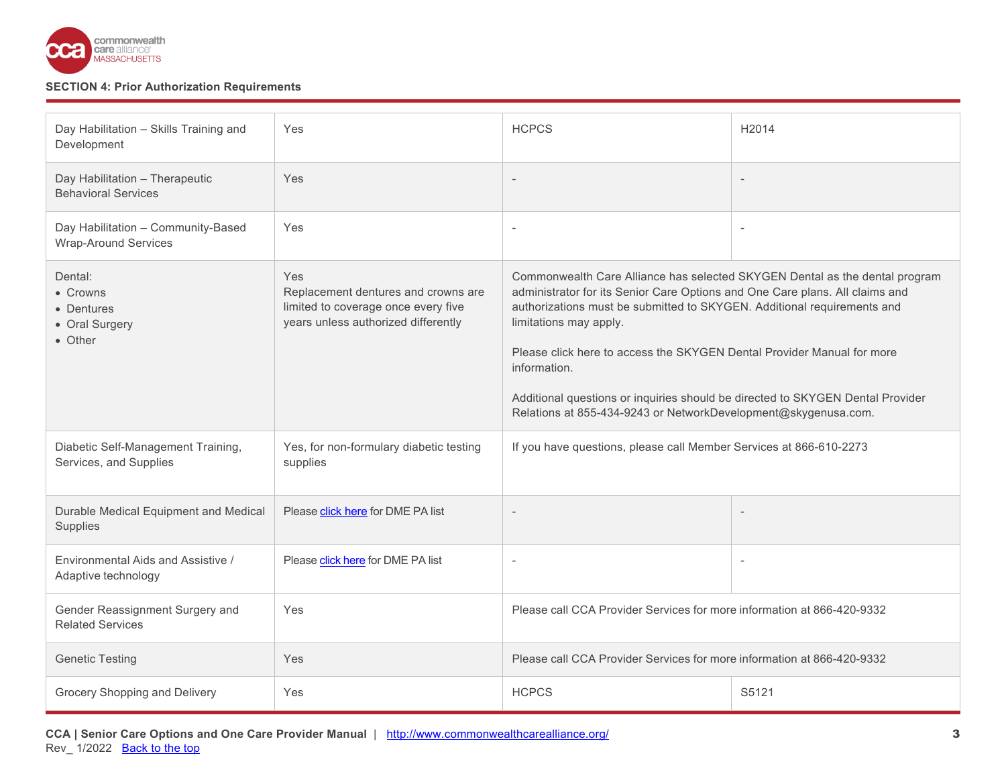

| Day Habilitation - Skills Training and<br>Development             | Yes                                                                                                                      | <b>HCPCS</b>                                                                                                                                                                                                                                                                                                                                                                                                                                                                                                   | H <sub>2014</sub>        |
|-------------------------------------------------------------------|--------------------------------------------------------------------------------------------------------------------------|----------------------------------------------------------------------------------------------------------------------------------------------------------------------------------------------------------------------------------------------------------------------------------------------------------------------------------------------------------------------------------------------------------------------------------------------------------------------------------------------------------------|--------------------------|
| Day Habilitation - Therapeutic<br><b>Behavioral Services</b>      | Yes                                                                                                                      | $\overline{\phantom{a}}$                                                                                                                                                                                                                                                                                                                                                                                                                                                                                       |                          |
| Day Habilitation - Community-Based<br><b>Wrap-Around Services</b> | Yes                                                                                                                      | $\overline{\phantom{a}}$                                                                                                                                                                                                                                                                                                                                                                                                                                                                                       | $\overline{\phantom{a}}$ |
| Dental:<br>• Crowns<br>• Dentures<br>• Oral Surgery<br>• Other    | Yes<br>Replacement dentures and crowns are<br>limited to coverage once every five<br>years unless authorized differently | Commonwealth Care Alliance has selected SKYGEN Dental as the dental program<br>administrator for its Senior Care Options and One Care plans. All claims and<br>authorizations must be submitted to SKYGEN. Additional requirements and<br>limitations may apply.<br>Please click here to access the SKYGEN Dental Provider Manual for more<br>information.<br>Additional questions or inquiries should be directed to SKYGEN Dental Provider<br>Relations at 855-434-9243 or NetworkDevelopment@skygenusa.com. |                          |
| Diabetic Self-Management Training,<br>Services, and Supplies      | Yes, for non-formulary diabetic testing<br>supplies                                                                      | If you have questions, please call Member Services at 866-610-2273                                                                                                                                                                                                                                                                                                                                                                                                                                             |                          |
| Durable Medical Equipment and Medical<br>Supplies                 | Please <b>click here</b> for DME PA list                                                                                 |                                                                                                                                                                                                                                                                                                                                                                                                                                                                                                                |                          |
| Environmental Aids and Assistive /<br>Adaptive technology         | Please click here for DME PA list                                                                                        | $\sim$                                                                                                                                                                                                                                                                                                                                                                                                                                                                                                         | $\sim$                   |
| Gender Reassignment Surgery and<br><b>Related Services</b>        | Yes                                                                                                                      | Please call CCA Provider Services for more information at 866-420-9332                                                                                                                                                                                                                                                                                                                                                                                                                                         |                          |
| <b>Genetic Testing</b>                                            | Yes                                                                                                                      | Please call CCA Provider Services for more information at 866-420-9332                                                                                                                                                                                                                                                                                                                                                                                                                                         |                          |
| Grocery Shopping and Delivery                                     | Yes                                                                                                                      | <b>HCPCS</b>                                                                                                                                                                                                                                                                                                                                                                                                                                                                                                   | S5121                    |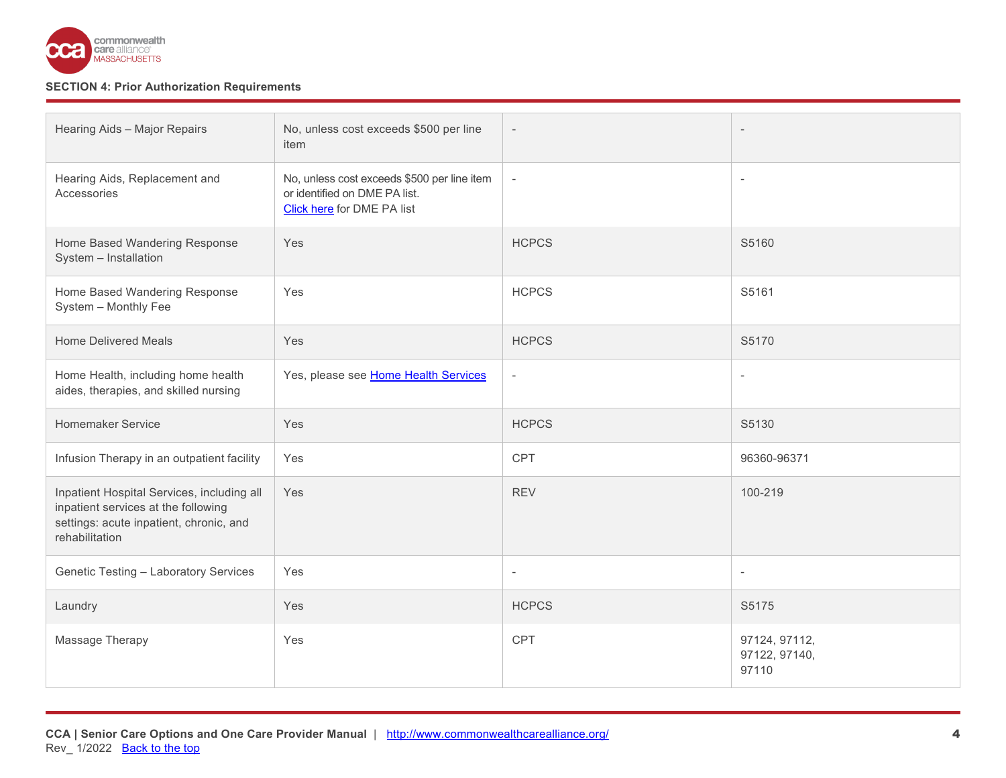

| Hearing Aids - Major Repairs                                                                                                                   | No, unless cost exceeds \$500 per line<br>item                                                                    | $\overline{\phantom{a}}$ |                                         |
|------------------------------------------------------------------------------------------------------------------------------------------------|-------------------------------------------------------------------------------------------------------------------|--------------------------|-----------------------------------------|
| Hearing Aids, Replacement and<br>Accessories                                                                                                   | No, unless cost exceeds \$500 per line item<br>or identified on DME PA list.<br><b>Click here</b> for DME PA list | $\overline{\phantom{a}}$ | $\overline{\phantom{a}}$                |
| Home Based Wandering Response<br>System - Installation                                                                                         | Yes                                                                                                               | <b>HCPCS</b>             | S5160                                   |
| Home Based Wandering Response<br>System - Monthly Fee                                                                                          | Yes                                                                                                               | <b>HCPCS</b>             | S5161                                   |
| <b>Home Delivered Meals</b>                                                                                                                    | Yes                                                                                                               | <b>HCPCS</b>             | S5170                                   |
| Home Health, including home health<br>aides, therapies, and skilled nursing                                                                    | Yes, please see Home Health Services                                                                              | $\overline{\phantom{a}}$ | $\overline{\phantom{a}}$                |
| Homemaker Service                                                                                                                              | Yes                                                                                                               | <b>HCPCS</b>             | S5130                                   |
| Infusion Therapy in an outpatient facility                                                                                                     | Yes                                                                                                               | <b>CPT</b>               | 96360-96371                             |
| Inpatient Hospital Services, including all<br>inpatient services at the following<br>settings: acute inpatient, chronic, and<br>rehabilitation | Yes                                                                                                               | <b>REV</b>               | 100-219                                 |
| Genetic Testing - Laboratory Services                                                                                                          | Yes                                                                                                               | $\overline{\phantom{a}}$ | $\sim$                                  |
| Laundry                                                                                                                                        | Yes                                                                                                               | <b>HCPCS</b>             | S5175                                   |
| Massage Therapy                                                                                                                                | Yes                                                                                                               | <b>CPT</b>               | 97124, 97112,<br>97122, 97140,<br>97110 |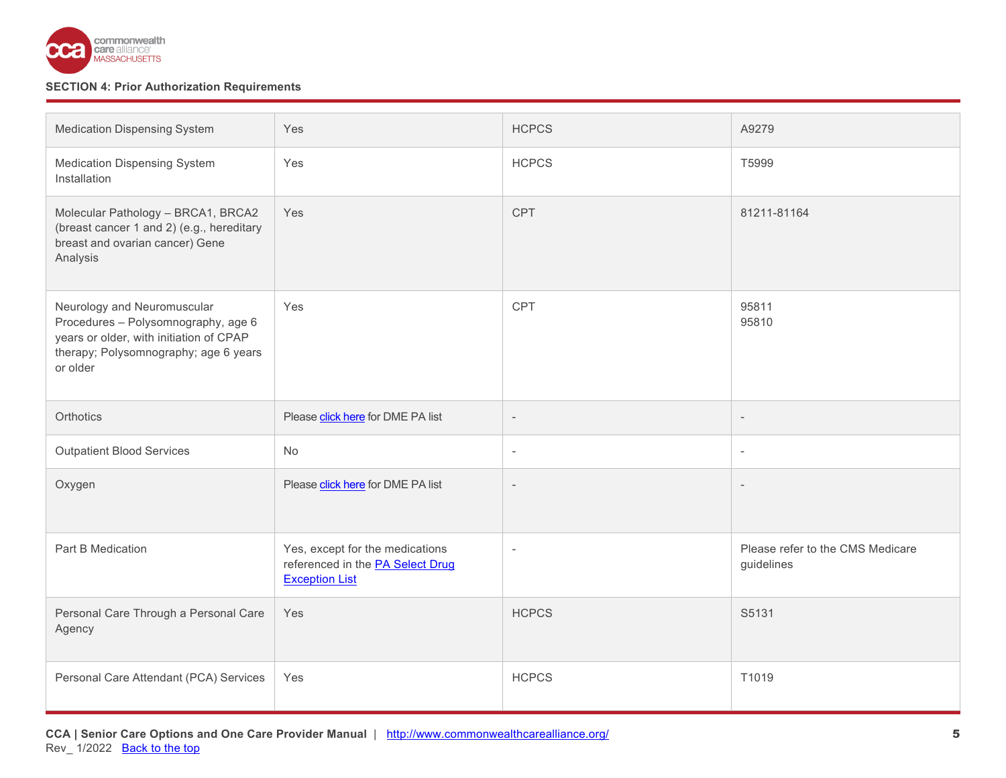

| <b>Medication Dispensing System</b>                                                                                                                                | Yes                                                                                          | <b>HCPCS</b>             | A9279                                          |
|--------------------------------------------------------------------------------------------------------------------------------------------------------------------|----------------------------------------------------------------------------------------------|--------------------------|------------------------------------------------|
| <b>Medication Dispensing System</b><br>Installation                                                                                                                | Yes                                                                                          | <b>HCPCS</b>             | T5999                                          |
| Molecular Pathology - BRCA1, BRCA2<br>(breast cancer 1 and 2) (e.g., hereditary<br>breast and ovarian cancer) Gene<br>Analysis                                     | Yes                                                                                          | <b>CPT</b>               | 81211-81164                                    |
| Neurology and Neuromuscular<br>Procedures - Polysomnography, age 6<br>years or older, with initiation of CPAP<br>therapy; Polysomnography; age 6 years<br>or older | Yes                                                                                          | <b>CPT</b>               | 95811<br>95810                                 |
| Orthotics                                                                                                                                                          | Please click here for DME PA list                                                            | $\overline{\phantom{a}}$ | $\overline{\phantom{a}}$                       |
| <b>Outpatient Blood Services</b>                                                                                                                                   | No                                                                                           | $\overline{\phantom{a}}$ | $\mathcal{L}_{\mathcal{A}}$                    |
| Oxygen                                                                                                                                                             | Please click here for DME PA list                                                            | $\overline{\phantom{a}}$ | $\overline{\phantom{a}}$                       |
| Part B Medication                                                                                                                                                  | Yes, except for the medications<br>referenced in the PA Select Drug<br><b>Exception List</b> | $\overline{\phantom{a}}$ | Please refer to the CMS Medicare<br>guidelines |
| Personal Care Through a Personal Care<br>Agency                                                                                                                    | Yes                                                                                          | <b>HCPCS</b>             | S5131                                          |
| Personal Care Attendant (PCA) Services                                                                                                                             | Yes                                                                                          | <b>HCPCS</b>             | T1019                                          |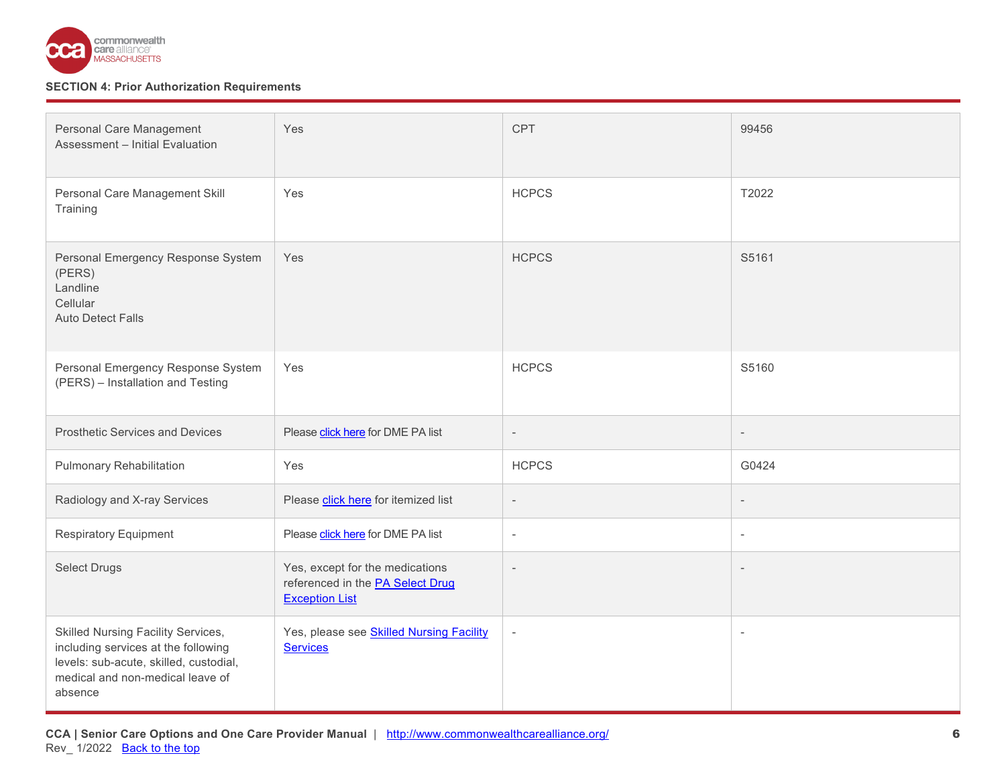

| Personal Care Management<br><b>Assessment - Initial Evaluation</b>                                                                                                 | Yes                                                                                          | <b>CPT</b>               | 99456                    |
|--------------------------------------------------------------------------------------------------------------------------------------------------------------------|----------------------------------------------------------------------------------------------|--------------------------|--------------------------|
| Personal Care Management Skill<br>Training                                                                                                                         | Yes                                                                                          | <b>HCPCS</b>             | T2022                    |
| Personal Emergency Response System<br>(PERS)<br>Landline<br>Cellular<br><b>Auto Detect Falls</b>                                                                   | Yes                                                                                          | <b>HCPCS</b>             | S5161                    |
| Personal Emergency Response System<br>(PERS) - Installation and Testing                                                                                            | Yes                                                                                          | <b>HCPCS</b>             | S5160                    |
| Prosthetic Services and Devices                                                                                                                                    | Please click here for DME PA list                                                            | $\overline{\phantom{a}}$ | $\overline{\phantom{a}}$ |
| <b>Pulmonary Rehabilitation</b>                                                                                                                                    | Yes                                                                                          | <b>HCPCS</b>             | G0424                    |
| Radiology and X-ray Services                                                                                                                                       | Please <b>click here</b> for itemized list                                                   | $\overline{\phantom{a}}$ |                          |
| <b>Respiratory Equipment</b>                                                                                                                                       | Please click here for DME PA list                                                            | $\blacksquare$           | $\overline{\phantom{a}}$ |
| <b>Select Drugs</b>                                                                                                                                                | Yes, except for the medications<br>referenced in the PA Select Drug<br><b>Exception List</b> | $\overline{\phantom{a}}$ | $\overline{\phantom{a}}$ |
| Skilled Nursing Facility Services,<br>including services at the following<br>levels: sub-acute, skilled, custodial,<br>medical and non-medical leave of<br>absence | Yes, please see Skilled Nursing Facility<br><b>Services</b>                                  | $\overline{\phantom{a}}$ | $\overline{\phantom{a}}$ |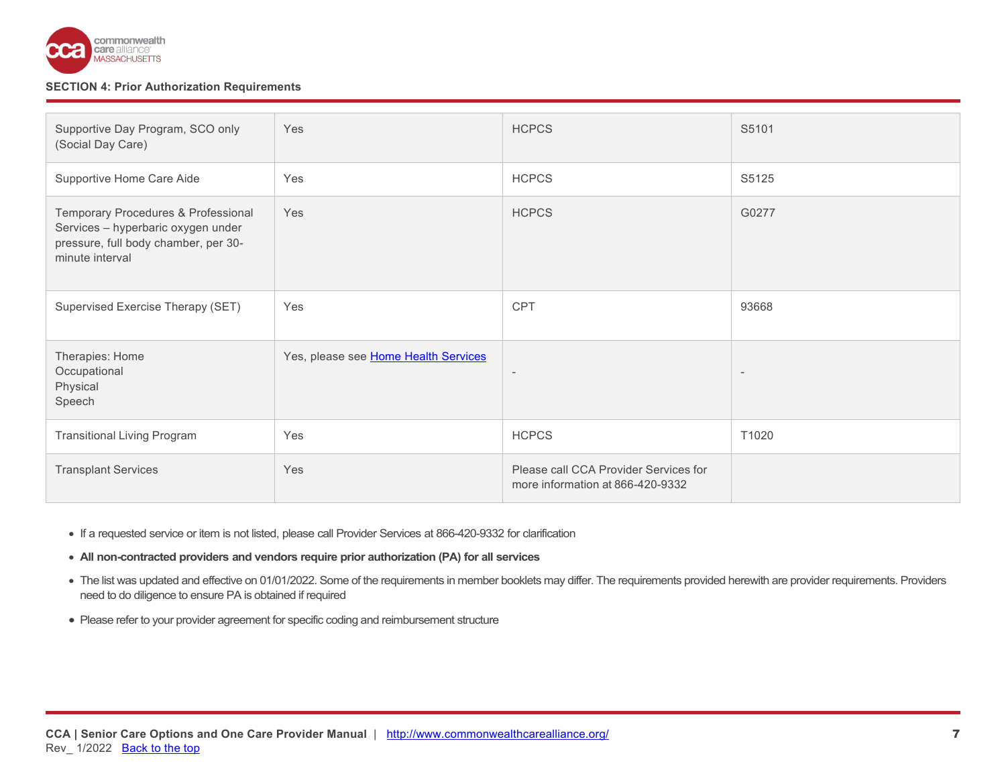

| Supportive Day Program, SCO only<br>(Social Day Care)                                                                                | Yes                                  | <b>HCPCS</b>                                                              | S5101 |
|--------------------------------------------------------------------------------------------------------------------------------------|--------------------------------------|---------------------------------------------------------------------------|-------|
| Supportive Home Care Aide                                                                                                            | Yes                                  | <b>HCPCS</b>                                                              | S5125 |
| Temporary Procedures & Professional<br>Services - hyperbaric oxygen under<br>pressure, full body chamber, per 30-<br>minute interval | Yes                                  | <b>HCPCS</b>                                                              | G0277 |
| Supervised Exercise Therapy (SET)                                                                                                    | Yes                                  | <b>CPT</b>                                                                | 93668 |
| Therapies: Home<br>Occupational<br>Physical<br>Speech                                                                                | Yes, please see Home Health Services | $\overline{\phantom{a}}$                                                  |       |
| <b>Transitional Living Program</b>                                                                                                   | Yes                                  | <b>HCPCS</b>                                                              | T1020 |
| <b>Transplant Services</b>                                                                                                           | Yes                                  | Please call CCA Provider Services for<br>more information at 866-420-9332 |       |

- If a requested service or item is not listed, please call Provider Services at 866-420-9332 for clarification
- **All non-contracted providers and vendors require prior authorization (PA) for all services**
- The list was updated and effective on 01/01/2022. Some of the requirements in member booklets may differ. The requirements provided herewith are provider requirements. Providers need to do diligence to ensure PA is obtained if required
- Please refer to your provider agreement for specific coding and reimbursement structure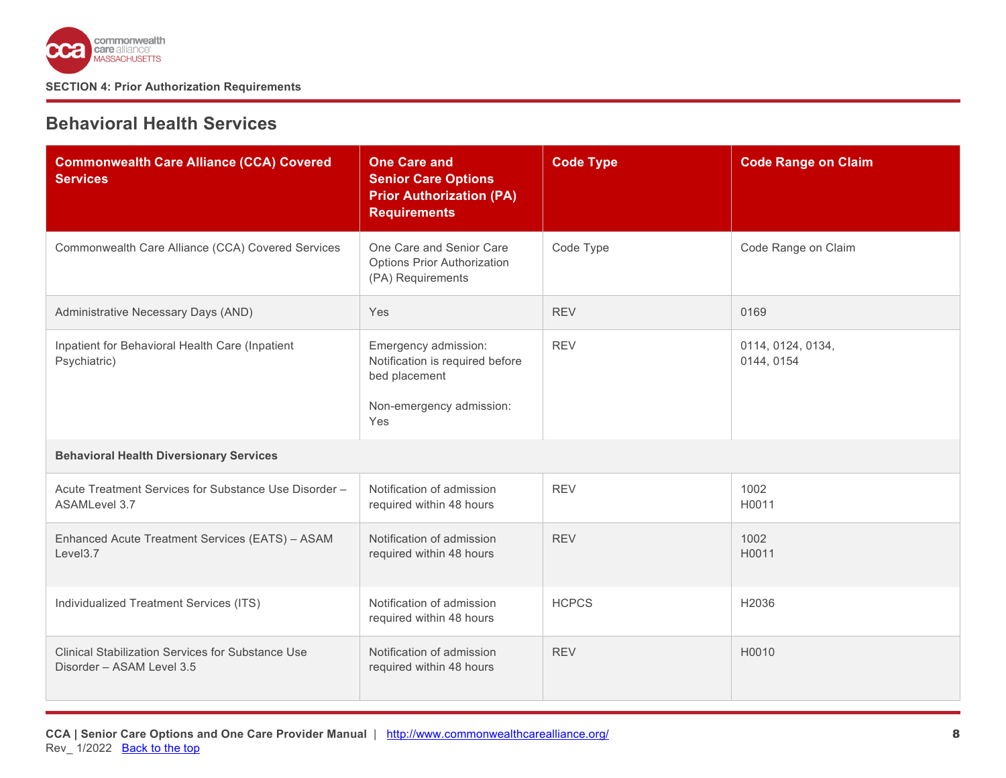

## **Behavioral Health Services**

| <b>Commonwealth Care Alliance (CCA) Covered</b><br><b>Services</b>                    | <b>One Care and</b><br><b>Senior Care Options</b><br><b>Prior Authorization (PA)</b><br><b>Requirements</b> | <b>Code Type</b> | <b>Code Range on Claim</b>      |
|---------------------------------------------------------------------------------------|-------------------------------------------------------------------------------------------------------------|------------------|---------------------------------|
| Commonwealth Care Alliance (CCA) Covered Services                                     | One Care and Senior Care<br><b>Options Prior Authorization</b><br>(PA) Requirements                         | Code Type        | Code Range on Claim             |
| Administrative Necessary Days (AND)                                                   | Yes                                                                                                         | <b>REV</b>       | 0169                            |
| Inpatient for Behavioral Health Care (Inpatient<br>Psychiatric)                       | Emergency admission:<br>Notification is required before<br>bed placement<br>Non-emergency admission:<br>Yes | <b>REV</b>       | 0114, 0124, 0134,<br>0144, 0154 |
| <b>Behavioral Health Diversionary Services</b>                                        |                                                                                                             |                  |                                 |
| Acute Treatment Services for Substance Use Disorder -<br>ASAMLevel 3.7                | Notification of admission<br>required within 48 hours                                                       | <b>REV</b>       | 1002<br>H0011                   |
| Enhanced Acute Treatment Services (EATS) - ASAM<br>Level3.7                           | Notification of admission<br>required within 48 hours                                                       | <b>REV</b>       | 1002<br>H0011                   |
| Individualized Treatment Services (ITS)                                               | Notification of admission<br>required within 48 hours                                                       | <b>HCPCS</b>     | H2036                           |
| <b>Clinical Stabilization Services for Substance Use</b><br>Disorder - ASAM Level 3.5 | Notification of admission<br>required within 48 hours                                                       | <b>REV</b>       | H0010                           |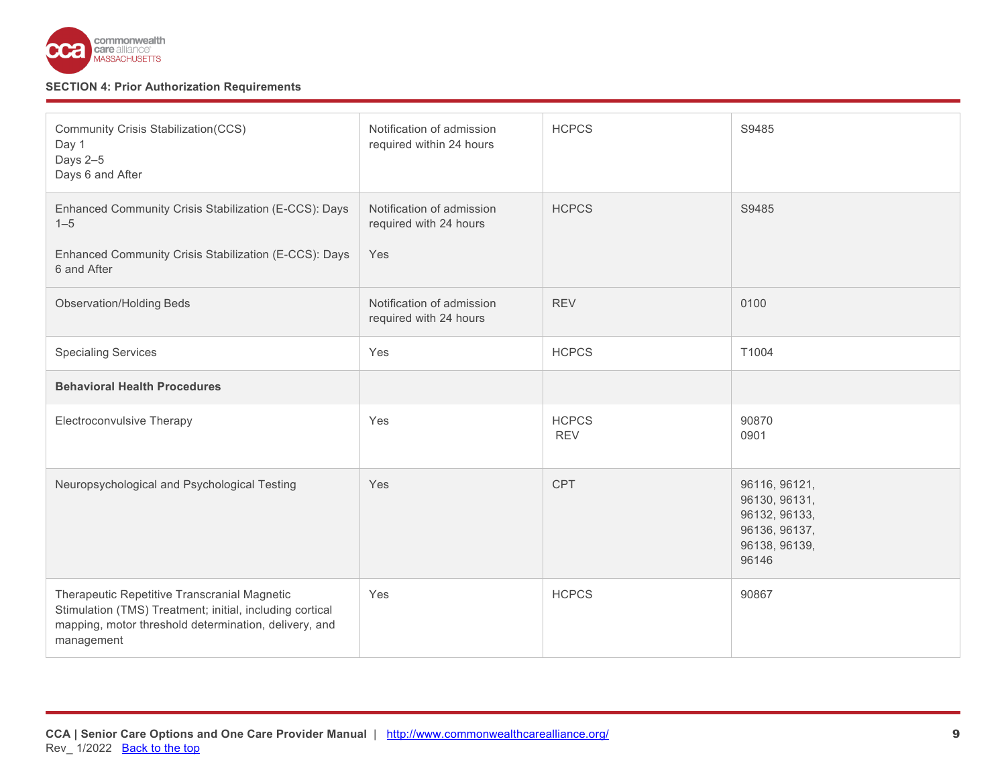

| Community Crisis Stabilization(CCS)<br>Day 1<br>Days 2-5<br>Days 6 and After                                                                                                    | Notification of admission<br>required within 24 hours      | <b>HCPCS</b>               | S9485                                                                                      |
|---------------------------------------------------------------------------------------------------------------------------------------------------------------------------------|------------------------------------------------------------|----------------------------|--------------------------------------------------------------------------------------------|
| Enhanced Community Crisis Stabilization (E-CCS): Days<br>$1 - 5$<br>Enhanced Community Crisis Stabilization (E-CCS): Days                                                       | Notification of admission<br>required with 24 hours<br>Yes | <b>HCPCS</b>               | S9485                                                                                      |
| 6 and After                                                                                                                                                                     |                                                            |                            |                                                                                            |
| <b>Observation/Holding Beds</b>                                                                                                                                                 | Notification of admission<br>required with 24 hours        | <b>REV</b>                 | 0100                                                                                       |
| <b>Specialing Services</b>                                                                                                                                                      | Yes                                                        | <b>HCPCS</b>               | T1004                                                                                      |
| <b>Behavioral Health Procedures</b>                                                                                                                                             |                                                            |                            |                                                                                            |
| Electroconvulsive Therapy                                                                                                                                                       | Yes                                                        | <b>HCPCS</b><br><b>REV</b> | 90870<br>0901                                                                              |
| Neuropsychological and Psychological Testing                                                                                                                                    | Yes                                                        | <b>CPT</b>                 | 96116, 96121,<br>96130, 96131,<br>96132, 96133,<br>96136, 96137,<br>96138, 96139,<br>96146 |
| Therapeutic Repetitive Transcranial Magnetic<br>Stimulation (TMS) Treatment; initial, including cortical<br>mapping, motor threshold determination, delivery, and<br>management | Yes                                                        | <b>HCPCS</b>               | 90867                                                                                      |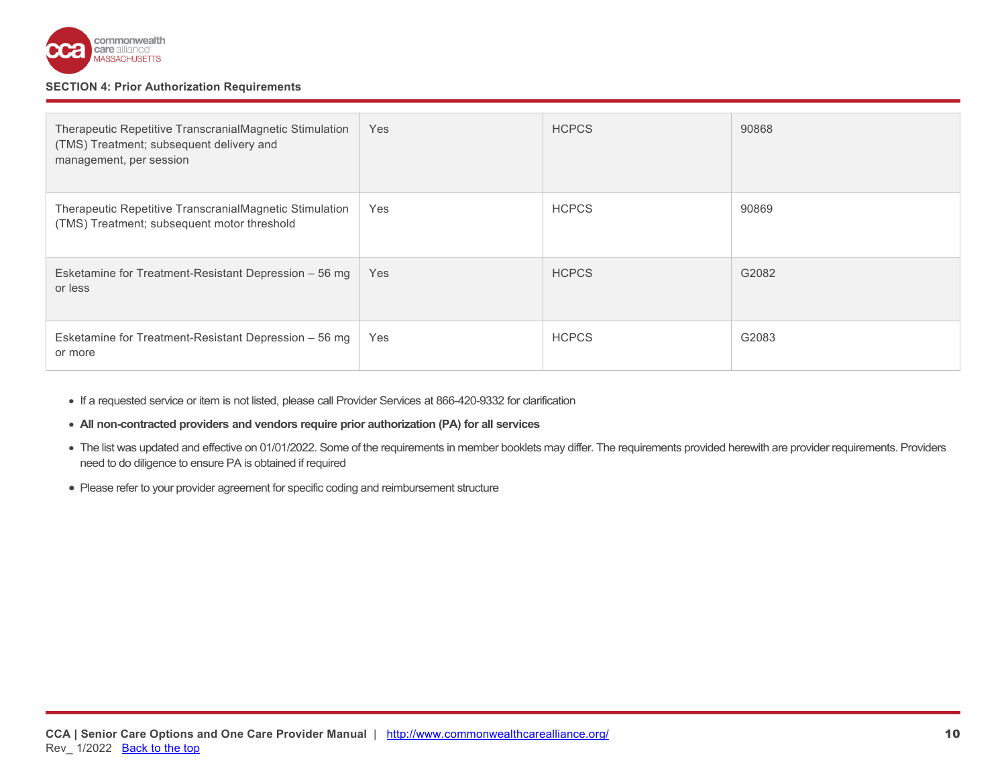

| Therapeutic Repetitive TranscranialMagnetic Stimulation<br>(TMS) Treatment; subsequent delivery and<br>management, per session | Yes | <b>HCPCS</b> | 90868 |
|--------------------------------------------------------------------------------------------------------------------------------|-----|--------------|-------|
| Therapeutic Repetitive TranscranialMagnetic Stimulation<br>(TMS) Treatment; subsequent motor threshold                         | Yes | <b>HCPCS</b> | 90869 |
| Esketamine for Treatment-Resistant Depression – 56 mg<br>or less                                                               | Yes | <b>HCPCS</b> | G2082 |
| Esketamine for Treatment-Resistant Depression – 56 mg<br>or more                                                               | Yes | <b>HCPCS</b> | G2083 |

• If a requested service or item is not listed, please call Provider Services at 866-420-9332 for clarification

• **All non-contracted providers and vendors require prior authorization (PA) for all services**

- The list was updated and effective on 01/01/2022. Some of the requirements in member booklets may differ. The requirements provided herewith are provider requirements. Providers need to do diligence to ensure PA is obtained if required
- Please refer to your provider agreement for specific coding and reimbursement structure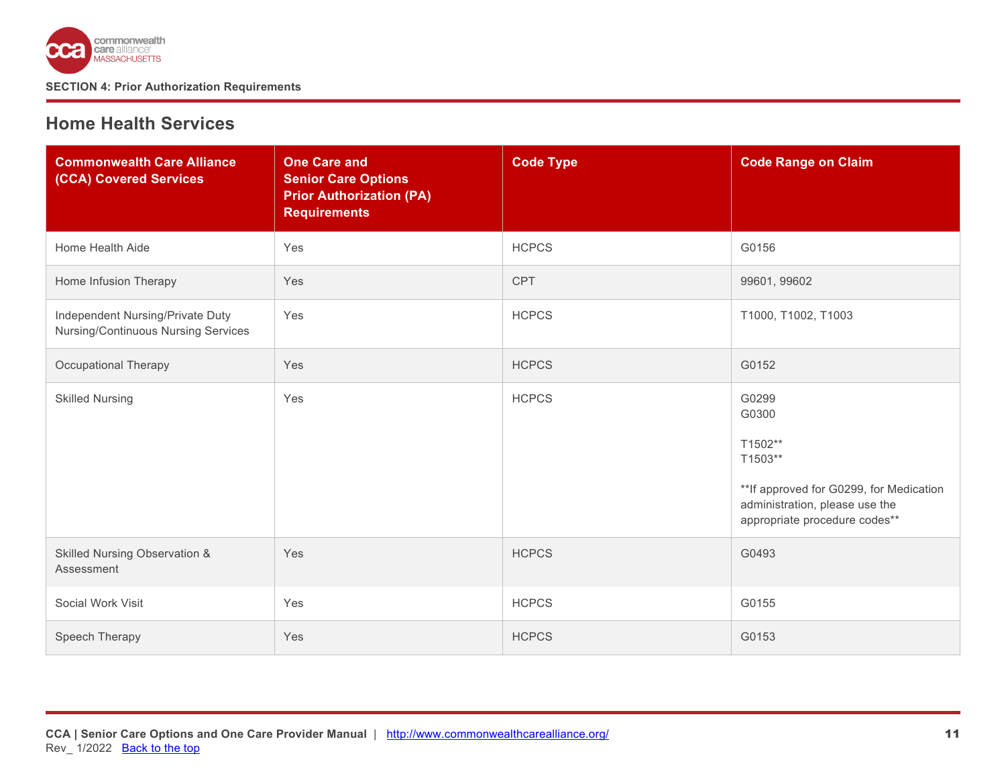

## <span id="page-10-0"></span>**Home Health Services**

| <b>Commonwealth Care Alliance</b><br>(CCA) Covered Services                    | <b>One Care and</b><br><b>Senior Care Options</b><br><b>Prior Authorization (PA)</b><br><b>Requirements</b> | <b>Code Type</b> | <b>Code Range on Claim</b>                                                                                                                          |
|--------------------------------------------------------------------------------|-------------------------------------------------------------------------------------------------------------|------------------|-----------------------------------------------------------------------------------------------------------------------------------------------------|
| Home Health Aide                                                               | Yes                                                                                                         | <b>HCPCS</b>     | G0156                                                                                                                                               |
| Home Infusion Therapy                                                          | Yes                                                                                                         | <b>CPT</b>       | 99601, 99602                                                                                                                                        |
| Independent Nursing/Private Duty<br><b>Nursing/Continuous Nursing Services</b> | Yes                                                                                                         | <b>HCPCS</b>     | T1000, T1002, T1003                                                                                                                                 |
| Occupational Therapy                                                           | Yes                                                                                                         | <b>HCPCS</b>     | G0152                                                                                                                                               |
| <b>Skilled Nursing</b>                                                         | Yes                                                                                                         | <b>HCPCS</b>     | G0299<br>G0300<br>T1502**<br>T1503**<br>** If approved for G0299, for Medication<br>administration, please use the<br>appropriate procedure codes** |
| <b>Skilled Nursing Observation &amp;</b><br>Assessment                         | Yes                                                                                                         | <b>HCPCS</b>     | G0493                                                                                                                                               |
| Social Work Visit                                                              | Yes                                                                                                         | <b>HCPCS</b>     | G0155                                                                                                                                               |
| Speech Therapy                                                                 | Yes                                                                                                         | <b>HCPCS</b>     | G0153                                                                                                                                               |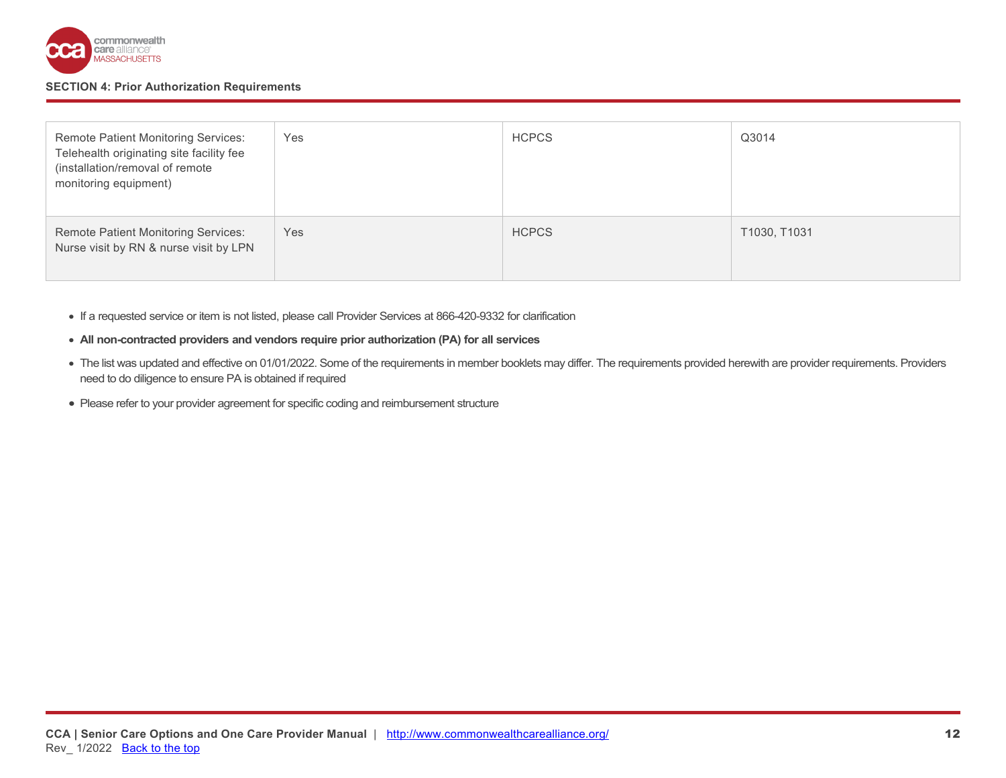

| Remote Patient Monitoring Services:<br>Telehealth originating site facility fee<br>(installation/removal of remote<br>monitoring equipment) | Yes | <b>HCPCS</b> | Q3014        |
|---------------------------------------------------------------------------------------------------------------------------------------------|-----|--------------|--------------|
| Remote Patient Monitoring Services:<br>Nurse visit by RN & nurse visit by LPN                                                               | Yes | <b>HCPCS</b> | T1030, T1031 |

- If a requested service or item is not listed, please call Provider Services at 866-420-9332 for clarification
- **All non-contracted providers and vendors require prior authorization (PA) for all services**
- The list was updated and effective on 01/01/2022. Some of the requirements in member booklets may differ. The requirements provided herewith are provider requirements. Providers need to do diligence to ensure PA is obtained if required
- Please refer to your provider agreement for specific coding and reimbursement structure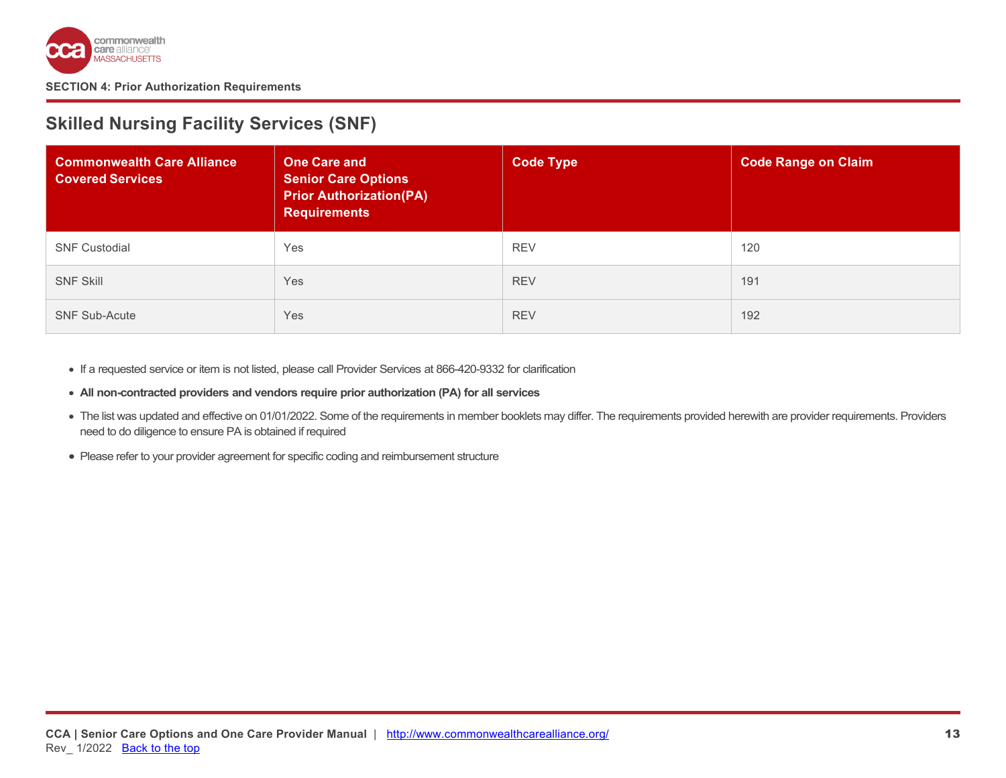

## **Skilled Nursing Facility Services (SNF)**

| <b>Commonwealth Care Alliance</b><br><b>Covered Services</b> | <b>One Care and</b><br><b>Senior Care Options</b><br><b>Prior Authorization(PA)</b><br><b>Requirements</b> | <b>Code Type</b> | <b>Code Range on Claim</b> |
|--------------------------------------------------------------|------------------------------------------------------------------------------------------------------------|------------------|----------------------------|
| <b>SNF Custodial</b>                                         | Yes                                                                                                        | <b>REV</b>       | 120                        |
| <b>SNF Skill</b>                                             | Yes                                                                                                        | <b>REV</b>       | 191                        |
| <b>SNF Sub-Acute</b>                                         | Yes                                                                                                        | <b>REV</b>       | 192                        |

• If a requested service or item is not listed, please call Provider Services at 866-420-9332 for clarification

• **All non-contracted providers and vendors require prior authorization (PA) for all services**

- The list was updated and effective on 01/01/2022. Some of the requirements in member booklets may differ. The requirements provided herewith are provider requirements. Providers need to do diligence to ensure PA is obtained if required
- Please refer to your provider agreement for specific coding and reimbursement structure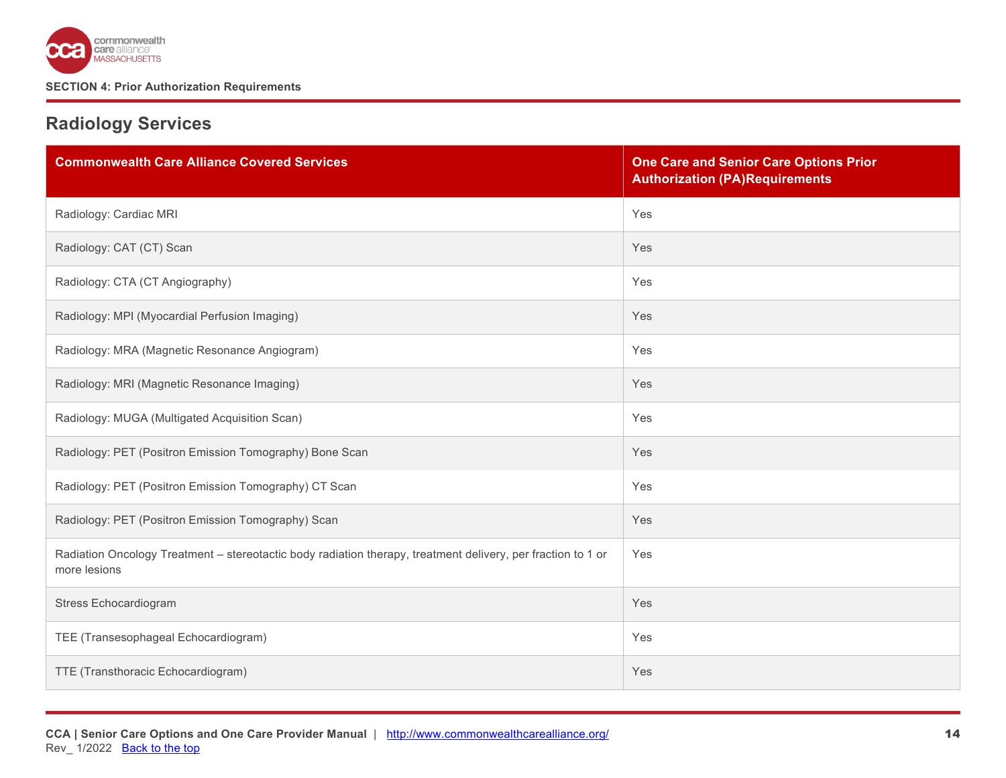

# <span id="page-13-0"></span>**Radiology Services**

| <b>Commonwealth Care Alliance Covered Services</b>                                                                           | One Care and Senior Care Options Prior<br><b>Authorization (PA)Requirements</b> |
|------------------------------------------------------------------------------------------------------------------------------|---------------------------------------------------------------------------------|
| Radiology: Cardiac MRI                                                                                                       | Yes                                                                             |
| Radiology: CAT (CT) Scan                                                                                                     | Yes                                                                             |
| Radiology: CTA (CT Angiography)                                                                                              | Yes                                                                             |
| Radiology: MPI (Myocardial Perfusion Imaging)                                                                                | Yes                                                                             |
| Radiology: MRA (Magnetic Resonance Angiogram)                                                                                | Yes                                                                             |
| Radiology: MRI (Magnetic Resonance Imaging)                                                                                  | Yes                                                                             |
| Radiology: MUGA (Multigated Acquisition Scan)                                                                                | Yes                                                                             |
| Radiology: PET (Positron Emission Tomography) Bone Scan                                                                      | Yes                                                                             |
| Radiology: PET (Positron Emission Tomography) CT Scan                                                                        | Yes                                                                             |
| Radiology: PET (Positron Emission Tomography) Scan                                                                           | Yes                                                                             |
| Radiation Oncology Treatment - stereotactic body radiation therapy, treatment delivery, per fraction to 1 or<br>more lesions | Yes                                                                             |
| Stress Echocardiogram                                                                                                        | Yes                                                                             |
| TEE (Transesophageal Echocardiogram)                                                                                         | Yes                                                                             |
| TTE (Transthoracic Echocardiogram)                                                                                           | Yes                                                                             |